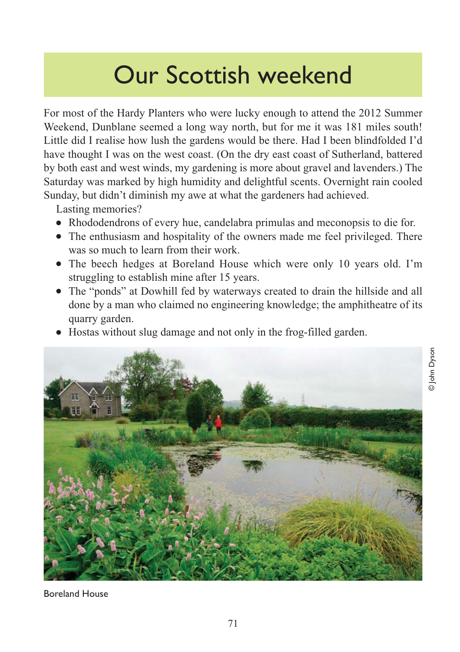# Our Scottish weekend

For most of the Hardy Planters who were lucky enough to attend the 2012 Summer Weekend, Dunblane seemed a long way north, but for me it was 181 miles south! Little did I realise how lush the gardens would be there. Had I been blindfolded I'd have thought I was on the west coast. (On the dry east coast of Sutherland, battered by both east and west winds, my gardening is more about gravel and lavenders.) The Saturday was marked by high humidity and delightful scents. Overnight rain cooled Sunday, but didn't diminish my awe at what the gardeners had achieved.

Lasting memories?

- Rhododendrons of every hue, candelabra primulas and meconopsis to die for.
- The enthusiasm and hospitality of the owners made me feel privileged. There was so much to learn from their work.
- The beech hedges at Boreland House which were only 10 years old. I'm struggling to establish mine after 15 years.
- The "ponds" at Dowhill fed by waterways created to drain the hillside and all done by a man who claimed no engineering knowledge; the amphitheatre of its quarry garden.
- Hostas without slug damage and not only in the frog-filled garden.



Boreland House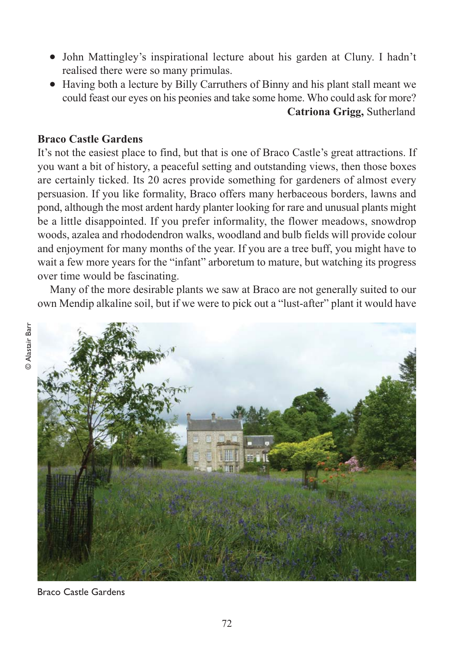- John Mattingley's inspirational lecture about his garden at Cluny. I hadn't realised there were so many primulas.
- Having both a lecture by Billy Carruthers of Binny and his plant stall meant we could feast our eyes on his peonies and take some home. Who could ask for more? **Catriona Grigg,** Sutherland

# **Braco Castle Gardens**

It's not the easiest place to find, but that is one of Braco Castle's great attractions. If you want a bit of history, a peaceful setting and outstanding views, then those boxes are certainly ticked. Its 20 acres provide something for gardeners of almost every persuasion. If you like formality, Braco offers many herbaceous borders, lawns and pond, although the most ardent hardy planter looking for rare and unusual plants might be a little disappointed. If you prefer informality, the flower meadows, snowdrop woods, azalea and rhododendron walks, woodland and bulb fields will provide colour and enjoyment for many months of the year. If you are a tree buff, you might have to wait a few more years for the "infant" arboretum to mature, but watching its progress over time would be fascinating.

Many of the more desirable plants we saw at Braco are not generally suited to our own Mendip alkaline soil, but if we were to pick out a "lust-after" plant it would have



Braco Castle Gardens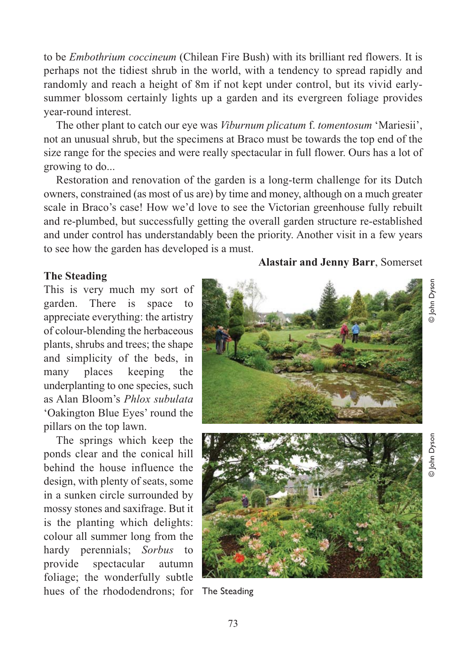to be *Embothrium coccineum* (Chilean Fire Bush) with its brilliant red flowers. It is perhaps not the tidiest shrub in the world, with a tendency to spread rapidly and randomly and reach a height of 8m if not kept under control, but its vivid earlysummer blossom certainly lights up a garden and its evergreen foliage provides year-round interest.

The other plant to catch our eye was *Viburnum plicatum* f. *tomentosum* 'Mariesii', not an unusual shrub, but the specimens at Braco must be towards the top end of the size range for the species and were really spectacular in full flower. Ours has a lot of growing to do...

Restoration and renovation of the garden is a long-term challenge for its Dutch owners, constrained (as most of us are) by time and money, although on a much greater scale in Braco's case! How we'd love to see the Victorian greenhouse fully rebuilt and re-plumbed, but successfully getting the overall garden structure re-established and under control has understandably been the priority. Another visit in a few years to see how the garden has developed is a must.

# **The Steading**

This is very much my sort of garden. There is space to appreciate everything: the artistry of colour-blending the herbaceous plants, shrubs and trees; the shape and simplicity of the beds, in many places keeping the underplanting to one species, such as Alan Bloom's *Phlox subulata* 'Oakington Blue Eyes' round the pillars on the top lawn.

The springs which keep the ponds clear and the conical hill behind the house influence the design, with plenty of seats, some in a sunken circle surrounded by mossy stones and saxifrage. But it is the planting which delights: colour all summer long from the hardy perennials; *Sorbus* to provide spectacular autumn foliage; the wonderfully subtle hues of the rhododendrons; for The Steading

**Alastair and Jenny Barr**, Somerset

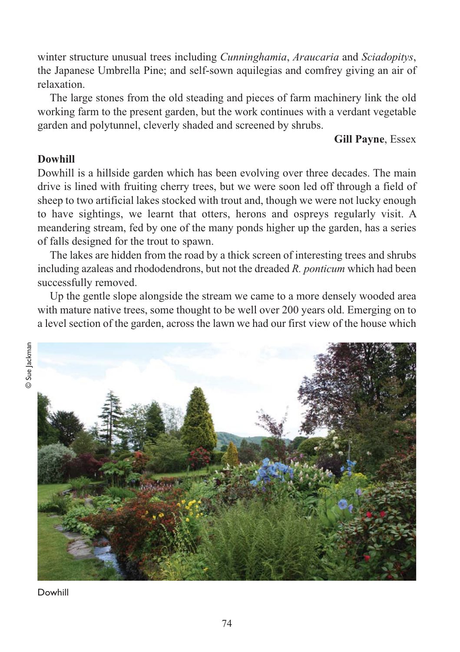winter structure unusual trees including *Cunninghamia*, *Araucaria* and *Sciadopitys*, the Japanese Umbrella Pine; and self-sown aquilegias and comfrey giving an air of relaxation.

The large stones from the old steading and pieces of farm machinery link the old working farm to the present garden, but the work continues with a verdant vegetable garden and polytunnel, cleverly shaded and screened by shrubs.

# **Gill Payne**, Essex

# **Dowhill**

Dowhill is a hillside garden which has been evolving over three decades. The main drive is lined with fruiting cherry trees, but we were soon led off through a field of sheep to two artificial lakes stocked with trout and, though we were not lucky enough to have sightings, we learnt that otters, herons and ospreys regularly visit. A meandering stream, fed by one of the many ponds higher up the garden, has a series of falls designed for the trout to spawn.

The lakes are hidden from the road by a thick screen of interesting trees and shrubs including azaleas and rhododendrons, but not the dreaded *R. ponticum* which had been successfully removed.

Up the gentle slope alongside the stream we came to a more densely wooded area with mature native trees, some thought to be well over 200 years old. Emerging on to a level section of the garden, across the lawn we had our first view of the house which



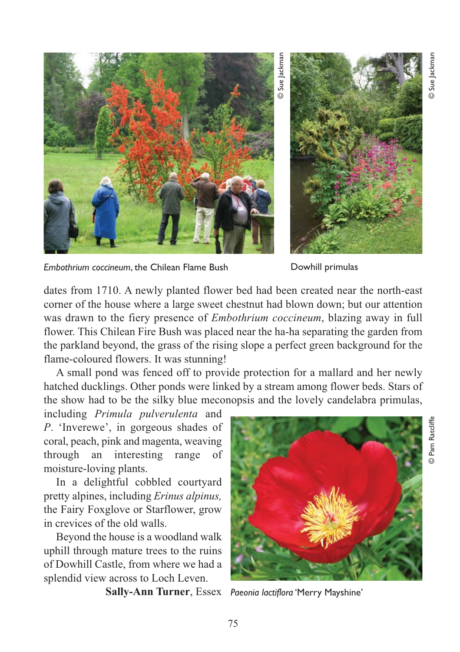

Sue Jackmar



*Embothrium coccineum*, the Chilean Flame Bush **Dowhill primulas** 

dates from 1710. A newly planted flower bed had been created near the north-east corner of the house where a large sweet chestnut had blown down; but our attention was drawn to the fiery presence of *Embothrium coccineum*, blazing away in full flower. This Chilean Fire Bush was placed near the ha-ha separating the garden from the parkland beyond, the grass of the rising slope a perfect green background for the flame-coloured flowers. It was stunning!

A small pond was fenced off to provide protection for a mallard and her newly hatched ducklings. Other ponds were linked by a stream among flower beds. Stars of the show had to be the silky blue meconopsis and the lovely candelabra primulas,

including *Primula pulverulenta* and *P*. 'Inverewe', in gorgeous shades of coral, peach, pink and magenta, weaving through an interesting range of moisture-loving plants.

In a delightful cobbled courtyard pretty alpines, including *Erinus alpinus,* the Fairy Foxglove or Starflower, grow in crevices of the old walls.

Beyond the house is a woodland walk uphill through mature trees to the ruins of Dowhill Castle, from where we had a splendid view across to Loch Leven.



**Sally-Ann Turner**, Essex *Paeonia lactiflora* 'Merry Mayshine'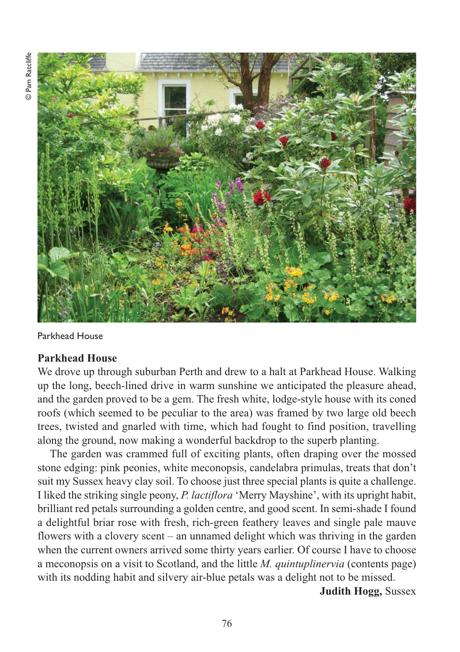

Parkhead House

# **Parkhead House**

We drove up through suburban Perth and drew to a halt at Parkhead House. Walking up the long, beech-lined drive in warm sunshine we anticipated the pleasure ahead, and the garden proved to be a gem. The fresh white, lodge-style house with its coned roofs (which seemed to be peculiar to the area) was framed by two large old beech trees, twisted and gnarled with time, which had fought to find position, travelling along the ground, now making a wonderful backdrop to the superb planting.

The garden was crammed full of exciting plants, often draping over the mossed stone edging: pink peonies, white meconopsis, candelabra primulas, treats that don't suit my Sussex heavy clay soil. To choose just three special plants is quite a challenge. I liked the striking single peony, *P. lactiflora* 'Merry Mayshine', with its upright habit, brilliant red petals surrounding a golden centre, and good scent. In semi-shade I found a delightful briar rose with fresh, rich-green feathery leaves and single pale mauve flowers with a clovery scent – an unnamed delight which was thriving in the garden when the current owners arrived some thirty years earlier. Of course I have to choose a meconopsis on a visit to Scotland, and the little *M. quintuplinervia* (contents page) with its nodding habit and silvery air-blue petals was a delight not to be missed.

**Judith Hogg,** Sussex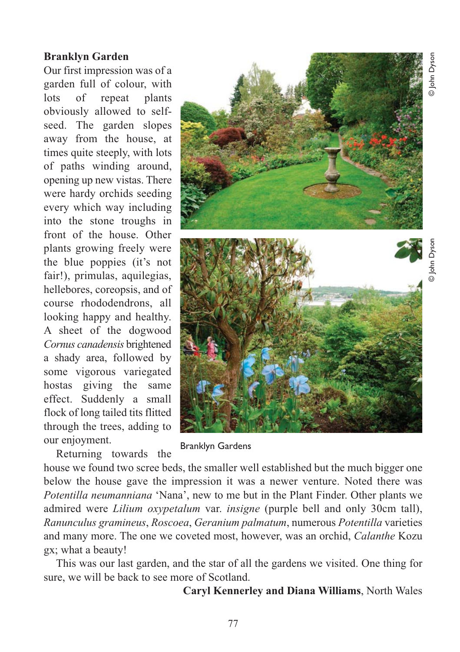# **Branklyn Garden**

Our first impression was of a garden full of colour, with lots of repeat plants obviously allowed to selfseed. The garden slopes away from the house, at times quite steeply, with lots of paths winding around, opening up new vistas. There were hardy orchids seeding every which way including into the stone troughs in front of the house. Other plants growing freely were the blue poppies (it's not fair!), primulas, aquilegias, hellebores, coreopsis, and of course rhododendrons, all looking happy and healthy. A sheet of the dogwood *Cornus canadensis* brightened a shady area, followed by some vigorous variegated hostas giving the same effect. Suddenly a small flock of long tailed tits flitted through the trees, adding to our enjoyment.

Returning towards the

Branklyn Gardens

house we found two scree beds, the smaller well established but the much bigger one below the house gave the impression it was a newer venture. Noted there was *Potentilla neumanniana* 'Nana', new to me but in the Plant Finder. Other plants we admired were *Lilium oxypetalum* var. *insigne* (purple bell and only 30cm tall), *Ranunculus gramineus*, *Roscoea*, *Geranium palmatum*, numerous *Potentilla* varieties and many more. The one we coveted most, however, was an orchid, *Calanthe* Kozu gx; what a beauty!

This was our last garden, and the star of all the gardens we visited. One thing for sure, we will be back to see more of Scotland.

**Caryl Kennerley and Diana Williams**, North Wales

D John Dyson © John Dyson